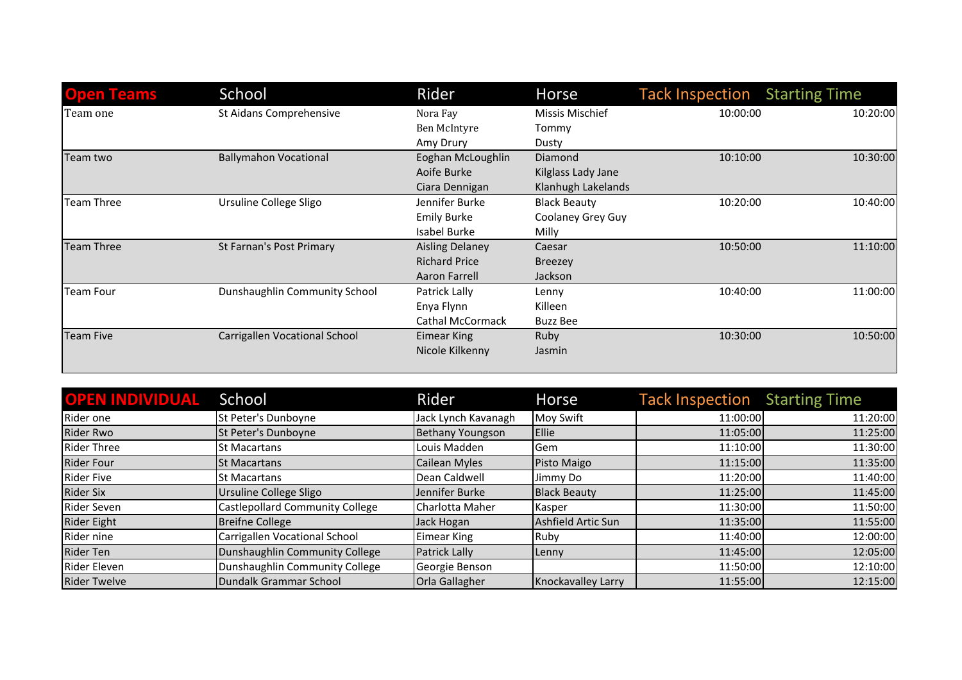| <b>Open Teams</b> | School                        | Rider                   | Horse                  | <b>Tack Inspection</b> Starting Time |          |
|-------------------|-------------------------------|-------------------------|------------------------|--------------------------------------|----------|
| Team one          | St Aidans Comprehensive       | Nora Fay                | <b>Missis Mischief</b> | 10:00:00                             | 10:20:00 |
|                   |                               | Ben McIntyre            | Tommy                  |                                      |          |
|                   |                               | Amy Drury               | Dusty                  |                                      |          |
| Team two          | <b>Ballymahon Vocational</b>  | Eoghan McLoughlin       | Diamond                | 10:10:00                             | 10:30:00 |
|                   |                               | Aoife Burke             | Kilglass Lady Jane     |                                      |          |
|                   |                               | Ciara Dennigan          | Klanhugh Lakelands     |                                      |          |
| Team Three        | Ursuline College Sligo        | Jennifer Burke          | <b>Black Beauty</b>    | 10:20:00                             | 10:40:00 |
|                   |                               | <b>Emily Burke</b>      | Coolaney Grey Guy      |                                      |          |
|                   |                               | Isabel Burke            | Milly                  |                                      |          |
| Team Three        | St Farnan's Post Primary      | <b>Aisling Delaney</b>  | Caesar                 | 10:50:00                             | 11:10:00 |
|                   |                               | <b>Richard Price</b>    | <b>Breezey</b>         |                                      |          |
|                   |                               | Aaron Farrell           | Jackson                |                                      |          |
| Team Four         | Dunshaughlin Community School | Patrick Lally           | Lenny                  | 10:40:00                             | 11:00:00 |
|                   |                               | Enya Flynn              | Killeen                |                                      |          |
|                   |                               | <b>Cathal McCormack</b> | Buzz Bee               |                                      |          |
| Team Five         | Carrigallen Vocational School | <b>Eimear King</b>      | Ruby                   | 10:30:00                             | 10:50:00 |
|                   |                               | Nicole Kilkenny         | Jasmin                 |                                      |          |

| <b>OPEN INDIVIDUAL School</b> |                                        | Rider                | Horse               | <b>Tack Inspection</b> Starting Time |          |
|-------------------------------|----------------------------------------|----------------------|---------------------|--------------------------------------|----------|
| Rider one                     | St Peter's Dunboyne                    | Jack Lynch Kavanagh  | Moy Swift           | 11:00:00                             | 11:20:00 |
| Rider Rwo                     | St Peter's Dunboyne                    | Bethany Youngson     | Ellie               | 11:05:00                             | 11:25:00 |
| Rider Three                   | l St Macartans                         | Louis Madden         | lGem                | 11:10:00                             | 11:30:00 |
| <b>Rider Four</b>             | <b>ISt Macartans</b>                   | <b>Cailean Myles</b> | Pisto Maigo         | 11:15:00                             | 11:35:00 |
| Rider Five                    | lSt Macartans                          | Dean Caldwell        | Jimmy Do            | 11:20:00                             | 11:40:00 |
| <b>Rider Six</b>              | Ursuline College Sligo                 | Jennifer Burke       | <b>Black Beauty</b> | 11:25:00                             | 11:45:00 |
| <b>Rider Seven</b>            | <b>Castlepollard Community College</b> | Charlotta Maher      | Kasper              | 11:30:00                             | 11:50:00 |
| Rider Eight                   | Breifne College                        | Jack Hogan           | Ashfield Artic Sun  | 11:35:00                             | 11:55:00 |
| Rider nine                    | Carrigallen Vocational School          | Eimear King          | Ruby                | 11:40:00                             | 12:00:00 |
| Rider Ten                     | Dunshaughlin Community College         | Patrick Lally        | Lenny               | 11:45:00                             | 12:05:00 |
| Rider Eleven                  | Dunshaughlin Community College         | Georgie Benson       |                     | 11:50:00                             | 12:10:00 |
| <b>Rider Twelve</b>           | Dundalk Grammar School                 | Orla Gallagher       | Knockavalley Larry  | 11:55:00                             | 12:15:00 |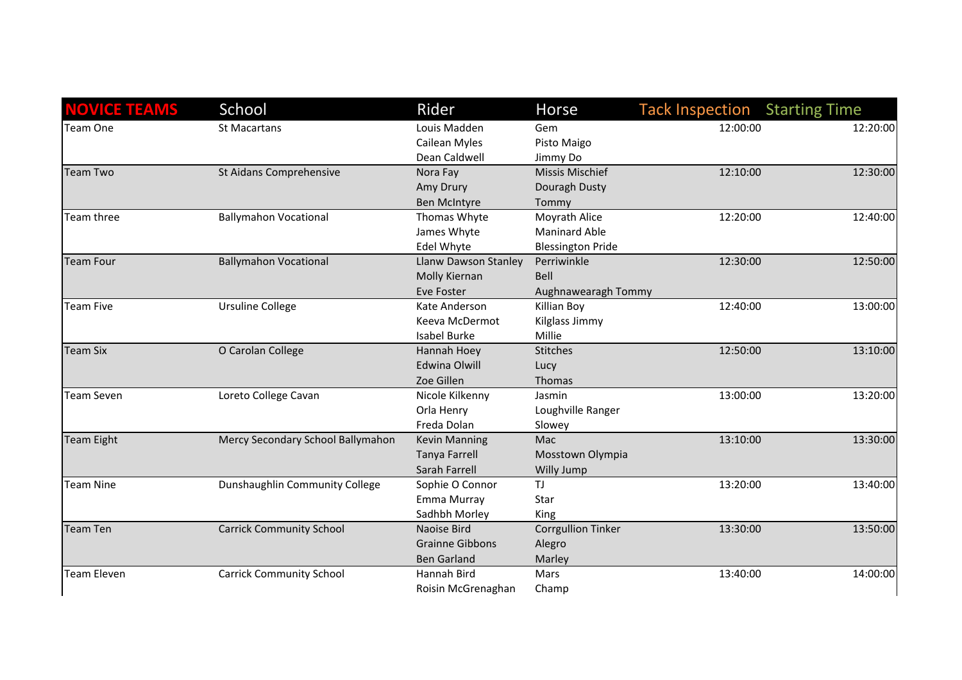| <b>NOVICE TEAMS</b> | School                            | Rider                       | <b>Horse</b>              | <b>Tack Inspection Starting Time</b> |          |
|---------------------|-----------------------------------|-----------------------------|---------------------------|--------------------------------------|----------|
| Team One            | <b>St Macartans</b>               | Louis Madden                | Gem                       | 12:00:00                             | 12:20:00 |
|                     |                                   | Cailean Myles               | Pisto Maigo               |                                      |          |
|                     |                                   | Dean Caldwell               | Jimmy Do                  |                                      |          |
| Team Two            | St Aidans Comprehensive           | Nora Fay                    | <b>Missis Mischief</b>    | 12:10:00                             | 12:30:00 |
|                     |                                   | Amy Drury                   | Douragh Dusty             |                                      |          |
|                     |                                   | Ben McIntyre                | Tommy                     |                                      |          |
| Team three          | <b>Ballymahon Vocational</b>      | Thomas Whyte                | Moyrath Alice             | 12:20:00                             | 12:40:00 |
|                     |                                   | James Whyte                 | <b>Maninard Able</b>      |                                      |          |
|                     |                                   | Edel Whyte                  | <b>Blessington Pride</b>  |                                      |          |
| <b>Team Four</b>    | <b>Ballymahon Vocational</b>      | <b>Llanw Dawson Stanley</b> | Perriwinkle               | 12:30:00                             | 12:50:00 |
|                     |                                   | Molly Kiernan               | Bell                      |                                      |          |
|                     |                                   | Eve Foster                  | Aughnawearagh Tommy       |                                      |          |
| <b>Team Five</b>    | <b>Ursuline College</b>           | Kate Anderson               | Killian Boy               | 12:40:00                             | 13:00:00 |
|                     |                                   | Keeva McDermot              | Kilglass Jimmy            |                                      |          |
|                     |                                   | Isabel Burke                | Millie                    |                                      |          |
| <b>Team Six</b>     | O Carolan College                 | Hannah Hoey                 | <b>Stitches</b>           | 12:50:00                             | 13:10:00 |
|                     |                                   | <b>Edwina Olwill</b>        | Lucy                      |                                      |          |
|                     |                                   | Zoe Gillen                  | Thomas                    |                                      |          |
| <b>Team Seven</b>   | Loreto College Cavan              | Nicole Kilkenny             | Jasmin                    | 13:00:00                             | 13:20:00 |
|                     |                                   | Orla Henry                  | Loughville Ranger         |                                      |          |
|                     |                                   | Freda Dolan                 | Slowey                    |                                      |          |
| <b>Team Eight</b>   | Mercy Secondary School Ballymahon | <b>Kevin Manning</b>        | Mac                       | 13:10:00                             | 13:30:00 |
|                     |                                   | <b>Tanya Farrell</b>        | Mosstown Olympia          |                                      |          |
|                     |                                   | Sarah Farrell               | <b>Willy Jump</b>         |                                      |          |
| <b>Team Nine</b>    | Dunshaughlin Community College    | Sophie O Connor             | TJ                        | 13:20:00                             | 13:40:00 |
|                     |                                   | Emma Murray                 | Star                      |                                      |          |
|                     |                                   | Sadhbh Morley               | King                      |                                      |          |
| <b>Team Ten</b>     | <b>Carrick Community School</b>   | Naoise Bird                 | <b>Corrgullion Tinker</b> | 13:30:00                             | 13:50:00 |
|                     |                                   | <b>Grainne Gibbons</b>      | Alegro                    |                                      |          |
|                     |                                   | <b>Ben Garland</b>          | Marley                    |                                      |          |
| <b>Team Eleven</b>  | <b>Carrick Community School</b>   | Hannah Bird                 | Mars                      | 13:40:00                             | 14:00:00 |
|                     |                                   | Roisin McGrenaghan          | Champ                     |                                      |          |